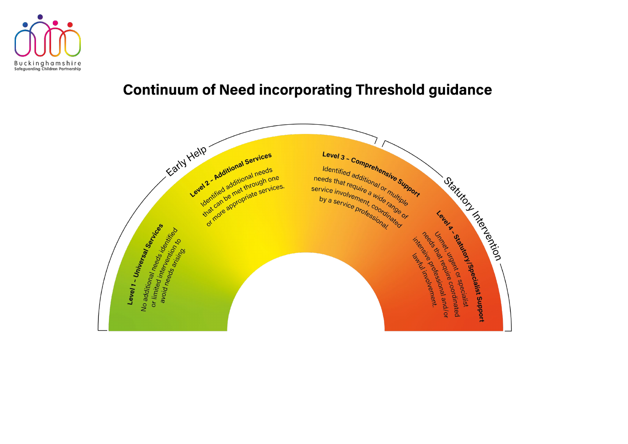

# **Continuum of Need incorporating Threshold guidance**



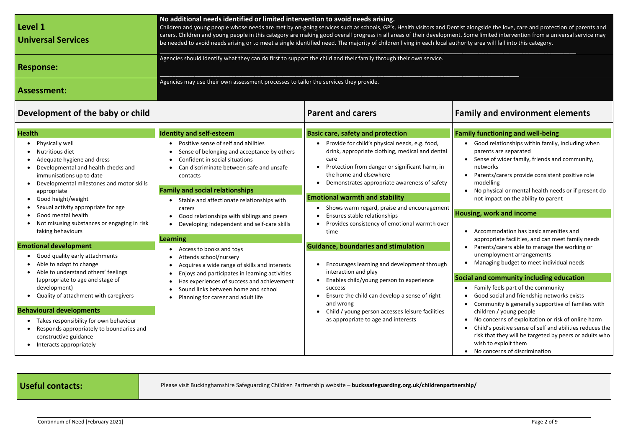mgside the love, care and protection of parents and ne limited intervention from a universal service may area will fall into this category.

| Level 1<br><b>Universal Services</b> | No additional needs identified or limited intervention to avoid needs arising.<br>Children and young people whose needs are met by on-going services such as schools, GP's, Health visitors and Dentist alongside the love, care and protection of<br>carers. Children and young people in this category are making good overall progress in all areas of their development. Some limited intervention from a universal<br>be needed to avoid needs arising or to meet a single identified need. The majority of children living in each local authority area will fall into this category. |
|--------------------------------------|---------------------------------------------------------------------------------------------------------------------------------------------------------------------------------------------------------------------------------------------------------------------------------------------------------------------------------------------------------------------------------------------------------------------------------------------------------------------------------------------------------------------------------------------------------------------------------------------|
| <b>Response:</b>                     | Agencies should identify what they can do first to support the child and their family through their own service.                                                                                                                                                                                                                                                                                                                                                                                                                                                                            |
| Assessment:                          | Agencies may use their own assessment processes to tailor the services they provide.                                                                                                                                                                                                                                                                                                                                                                                                                                                                                                        |

## **Development of the baby or child Family and Equipment and Carers Family and environment elements**

| <b>Health</b>                                                                                                                                                                                                                                                        | <b>Identity and self-esteem</b>                                                                                                                                                                                                                                                                            | <b>Basic care, safety and protection</b>                                                                                                                                                                                                                                     | <b>Family f</b>                                                         |
|----------------------------------------------------------------------------------------------------------------------------------------------------------------------------------------------------------------------------------------------------------------------|------------------------------------------------------------------------------------------------------------------------------------------------------------------------------------------------------------------------------------------------------------------------------------------------------------|------------------------------------------------------------------------------------------------------------------------------------------------------------------------------------------------------------------------------------------------------------------------------|-------------------------------------------------------------------------|
| Physically well<br>$\bullet$<br>Nutritious diet<br>Adequate hygiene and dress<br>Developmental and health checks and<br>immunisations up to date<br>Developmental milestones and motor skills<br>appropriate                                                         | Positive sense of self and abilities<br>Sense of belonging and acceptance by others<br>Confident in social situations<br>Can discriminate between safe and unsafe<br>contacts<br><b>Family and social relationships</b>                                                                                    | Provide for child's physical needs, e.g. food,<br>$\bullet$<br>drink, appropriate clothing, medical and dental<br>care<br>Protection from danger or significant harm, in<br>$\bullet$<br>the home and elsewhere<br>Demonstrates appropriate awareness of safety<br>$\bullet$ | Go<br>pa<br>- Se<br>$n\epsilon$<br>Pa<br>m<br>N <sub>o</sub>            |
| Good height/weight<br>$\bullet$                                                                                                                                                                                                                                      | Stable and affectionate relationships with                                                                                                                                                                                                                                                                 | <b>Emotional warmth and stability</b>                                                                                                                                                                                                                                        | nc                                                                      |
| Sexual activity appropriate for age<br>$\bullet$<br>Good mental health<br>Not misusing substances or engaging in risk<br>taking behaviours                                                                                                                           | carers<br>Good relationships with siblings and peers<br>Developing independent and self-care skills                                                                                                                                                                                                        | Shows warm regard, praise and encouragement<br>$\bullet$<br>Ensures stable relationships<br>$\bullet$<br>Provides consistency of emotional warmth over<br>time                                                                                                               | <b>Housing</b><br>Ac                                                    |
|                                                                                                                                                                                                                                                                      | <b>Learning</b>                                                                                                                                                                                                                                                                                            |                                                                                                                                                                                                                                                                              | ap                                                                      |
| <b>Emotional development</b><br>Good quality early attachments<br>$\bullet$<br>Able to adapt to change<br>$\bullet$<br>Able to understand others' feelings<br>(appropriate to age and stage of<br>development)<br>Quality of attachment with caregivers<br>$\bullet$ | Access to books and toys<br>Attends school/nursery<br>$\bullet$<br>Acquires a wide range of skills and interests<br>Enjoys and participates in learning activities<br>$\bullet$<br>Has experiences of success and achievement<br>Sound links between home and school<br>Planning for career and adult life | <b>Guidance, boundaries and stimulation</b><br>Encourages learning and development through<br>interaction and play<br>Enables child/young person to experience<br>success<br>Ensure the child can develop a sense of right<br>$\bullet$                                      | Pa<br>ur<br>M<br>Social ar<br>- Fa<br>Go                                |
| <b>Behavioural developments</b>                                                                                                                                                                                                                                      |                                                                                                                                                                                                                                                                                                            | and wrong<br>Child / young person accesses leisure facilities<br>$\bullet$                                                                                                                                                                                                   | C <sub>C</sub><br>ch                                                    |
| Takes responsibility for own behaviour<br>$\bullet$<br>Responds appropriately to boundaries and<br>constructive guidance<br>Interacts appropriately<br>$\bullet$                                                                                                     |                                                                                                                                                                                                                                                                                                            | as appropriate to age and interests                                                                                                                                                                                                                                          | N <sub>o</sub><br>$\bullet$<br><b>C</b><br>$\bullet$<br>ris<br>wi<br>No |

**Useful contacts:** Please visit Buckinghamshire Safeguarding Children Partnership website – buckssafeguarding.org.uk/childrenpartnership/

### **Family functioning and well-being**

- ood relationships within family, including when arents are separated
- ense of wider family, friends and community, etworks
- arents/carers provide consistent positive role odelling
- o physical or mental health needs or if present do ot impact on the ability to parent

#### **Housing, work and income**

- ccommodation has basic amenities and
- appropriate facilities, and can meet family needs
- arents/carers able to manage the working or
- nemployment arrangements
- anaging budget to meet individual needs

### **nd community including education**

- amily feels part of the community
- ood social and friendship networks exists
- ommunity is generally supportive of families with hildren / young people
- o concerns of exploitation or risk of online harm
- hild's positive sense of self and abilities reduces the sk that they will be targeted by peers or adults who ish to exploit them
- o concerns of discrimination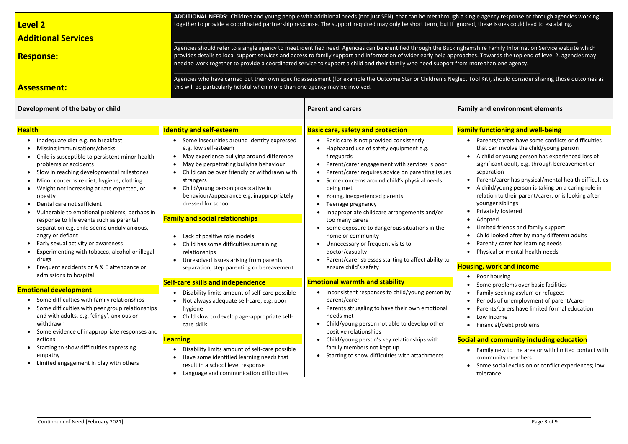| <b>Level 2</b><br><b>Additional Services</b>                                                                                                                                                                                                                                                                                                                                                                                                                                                                                                                                                                                                |                                                                                                                                                                                                                                                                                                                                                                                                                                                                                                                                                                                                     | ADDITIONAL NEEDS: Children and young people with additional needs (not just SEN), that can be met through a single agency response or through agencies<br>together to provide a coordinated partnership response. The support required may only be short term, but if ignored, these issues could lead to escalating.                                                                                                                                                                                                                                                                                                          |                                                                                                                                                                                                                                                                                                                                                                                                                                                                                                                                                                                          |
|---------------------------------------------------------------------------------------------------------------------------------------------------------------------------------------------------------------------------------------------------------------------------------------------------------------------------------------------------------------------------------------------------------------------------------------------------------------------------------------------------------------------------------------------------------------------------------------------------------------------------------------------|-----------------------------------------------------------------------------------------------------------------------------------------------------------------------------------------------------------------------------------------------------------------------------------------------------------------------------------------------------------------------------------------------------------------------------------------------------------------------------------------------------------------------------------------------------------------------------------------------------|--------------------------------------------------------------------------------------------------------------------------------------------------------------------------------------------------------------------------------------------------------------------------------------------------------------------------------------------------------------------------------------------------------------------------------------------------------------------------------------------------------------------------------------------------------------------------------------------------------------------------------|------------------------------------------------------------------------------------------------------------------------------------------------------------------------------------------------------------------------------------------------------------------------------------------------------------------------------------------------------------------------------------------------------------------------------------------------------------------------------------------------------------------------------------------------------------------------------------------|
| <b>Response:</b>                                                                                                                                                                                                                                                                                                                                                                                                                                                                                                                                                                                                                            |                                                                                                                                                                                                                                                                                                                                                                                                                                                                                                                                                                                                     | Agencies should refer to a single agency to meet identified need. Agencies can be identified through the Buckinghamshire Family Information Service website<br>provides details to local support services and access to family support and information of wider early help approaches. Towards the top end of level 2, agenc<br>need to work together to provide a coordinated service to support a child and their family who need support from more than one agency.                                                                                                                                                         |                                                                                                                                                                                                                                                                                                                                                                                                                                                                                                                                                                                          |
| <b>Assessment:</b>                                                                                                                                                                                                                                                                                                                                                                                                                                                                                                                                                                                                                          | this will be particularly helpful when more than one agency may be involved.                                                                                                                                                                                                                                                                                                                                                                                                                                                                                                                        | Agencies who have carried out their own specific assessment (for example the Outcome Star or Children's Neglect Tool Kit), should consider sharing those ou                                                                                                                                                                                                                                                                                                                                                                                                                                                                    |                                                                                                                                                                                                                                                                                                                                                                                                                                                                                                                                                                                          |
| Development of the baby or child                                                                                                                                                                                                                                                                                                                                                                                                                                                                                                                                                                                                            |                                                                                                                                                                                                                                                                                                                                                                                                                                                                                                                                                                                                     | <b>Parent and carers</b>                                                                                                                                                                                                                                                                                                                                                                                                                                                                                                                                                                                                       | <b>Family and environment elements</b>                                                                                                                                                                                                                                                                                                                                                                                                                                                                                                                                                   |
| <b>Health</b>                                                                                                                                                                                                                                                                                                                                                                                                                                                                                                                                                                                                                               | <b>Identity and self-esteem</b>                                                                                                                                                                                                                                                                                                                                                                                                                                                                                                                                                                     | <b>Basic care, safety and protection</b>                                                                                                                                                                                                                                                                                                                                                                                                                                                                                                                                                                                       | <b>Family functioning and well-being</b>                                                                                                                                                                                                                                                                                                                                                                                                                                                                                                                                                 |
| Inadequate diet e.g. no breakfast<br>Missing immunisations/checks<br>Child is susceptible to persistent minor health<br>problems or accidents<br>Slow in reaching developmental milestones<br>Minor concerns re diet, hygiene, clothing<br>Weight not increasing at rate expected, or<br>obesity<br>Dental care not sufficient<br>Vulnerable to emotional problems, perhaps in<br>response to life events such as parental<br>separation e.g. child seems unduly anxious,<br>angry or defiant<br>Early sexual activity or awareness<br>Experimenting with tobacco, alcohol or illegal<br>drugs<br>Frequent accidents or A & E attendance or | Some insecurities around identity expressed<br>e.g. low self-esteem<br>May experience bullying around difference<br>$\bullet$<br>May be perpetrating bullying behaviour<br>Child can be over friendly or withdrawn with<br>strangers<br>Child/young person provocative in<br>behaviour/appearance e.g. inappropriately<br>dressed for school<br><b>Family and social relationships</b><br>Lack of positive role models<br>$\bullet$<br>Child has some difficulties sustaining<br>relationships<br>Unresolved issues arising from parents'<br>$\bullet$<br>separation, step parenting or bereavement | Basic care is not provided consistently<br>Haphazard use of safety equipment e.g.<br>fireguards<br>Parent/carer engagement with services is poor<br>Parent/carer requires advice on parenting issues<br>Some concerns around child's physical needs<br>being met<br>Young, inexperienced parents<br>Teenage pregnancy<br>Inappropriate childcare arrangements and/or<br>$\bullet$<br>too many carers<br>Some exposure to dangerous situations in the<br>home or community<br>Unnecessary or frequent visits to<br>$\bullet$<br>doctor/casualty<br>Parent/carer stresses starting to affect ability to<br>ensure child's safety | Parents/carers have some conflicts or o<br>that can involve the child/young persor<br>A child or young person has experience<br>significant adult, e.g. through bereaven<br>separation<br>Parent/carer has physical/mental healt<br>A child/young person is taking on a cari<br>relation to their parent/carer, or is look<br>younger siblings<br>Privately fostered<br>Adopted<br>Limited friends and family support<br>Child looked after by many different ad<br>$\bullet$<br>Parent / carer has learning needs<br>Physical or mental health needs<br><b>Housing, work and income</b> |
| admissions to hospital                                                                                                                                                                                                                                                                                                                                                                                                                                                                                                                                                                                                                      | <b>Self-care skills and independence</b>                                                                                                                                                                                                                                                                                                                                                                                                                                                                                                                                                            | <b>Emotional warmth and stability</b>                                                                                                                                                                                                                                                                                                                                                                                                                                                                                                                                                                                          | Poor housing<br>$\bullet$                                                                                                                                                                                                                                                                                                                                                                                                                                                                                                                                                                |
| <b>Emotional development</b><br>Some difficulties with family relationships<br>$\bullet$<br>Some difficulties with peer group relationships<br>and with adults, e.g. 'clingy', anxious or<br>withdrawn<br>Some evidence of inappropriate responses and<br>actions<br>Starting to show difficulties expressing<br>empathy                                                                                                                                                                                                                                                                                                                    | Disability limits amount of self-care possible<br>Not always adequate self-care, e.g. poor<br>hygiene<br>Child slow to develop age-appropriate self-<br>care skills<br><b>Learning</b><br>Disability limits amount of self-care possible<br>Have some identified learning needs that                                                                                                                                                                                                                                                                                                                | Inconsistent responses to child/young person by<br>parent/carer<br>Parents struggling to have their own emotional<br>needs met<br>Child/young person not able to develop other<br>$\bullet$<br>positive relationships<br>Child/young person's key relationships with<br>$\bullet$<br>family members not kept up<br>Starting to show difficulties with attachments<br>$\bullet$                                                                                                                                                                                                                                                 | Some problems over basic facilities<br>Family seeking asylum or refugees<br>$\bullet$<br>Periods of unemployment of parent/ca<br>Parents/carers have limited formal edu<br>Low income<br>$\bullet$<br>Financial/debt problems<br><b>Social and community including educat</b><br>Family new to the area or with limited<br>$\bullet$<br>community members                                                                                                                                                                                                                                |
| Limited engagement in play with others                                                                                                                                                                                                                                                                                                                                                                                                                                                                                                                                                                                                      | result in a school level response<br>Language and communication difficulties                                                                                                                                                                                                                                                                                                                                                                                                                                                                                                                        |                                                                                                                                                                                                                                                                                                                                                                                                                                                                                                                                                                                                                                | Some social exclusion or conflict experi<br>tolerance                                                                                                                                                                                                                                                                                                                                                                                                                                                                                                                                    |

le agency response or through agencies working these issues could lead to escalating.  $t$ 

shire Family Information Service website which s. Towards the top end of level 2, agencies may ore than one agency.

Ageles Kagencies on have outcomes as specified outcomes as the Outcomes Star or Children Star or Children Star<br>Star or Children's Neglect Tool Kital Consider Sharing those outcomes as a sharing those outcomes as

### **<u>By and environment elements</u>**

#### **Family functioning and well-being**

- Poor housing
- Some problems over basic facilities
- Family seeking asylum or refugees
- Periods of unemployment of parent/carer
- Parents/carers have limited formal education
- Low income
- Financial/debt problems

#### **Solutify including education**

- Parents/carers have some conflicts or difficulties that can involve the child/young person
- A child or young person has experienced loss of significant adult, e.g. through bereavement or separation
- Parent/carer has physical/mental health difficulties • A child/young person is taking on a caring role in relation to their parent/carer, or is looking after younger siblings
- Privately fostered
- Adopted
- Limited friends and family support
- Child looked after by many different adults
- Parent / carer has learning needs
- Physical or mental health needs

#### **Housh**, work and income

- Family new to the area or with limited contact with community members
- Some social exclusion or conflict experiences; low tolerance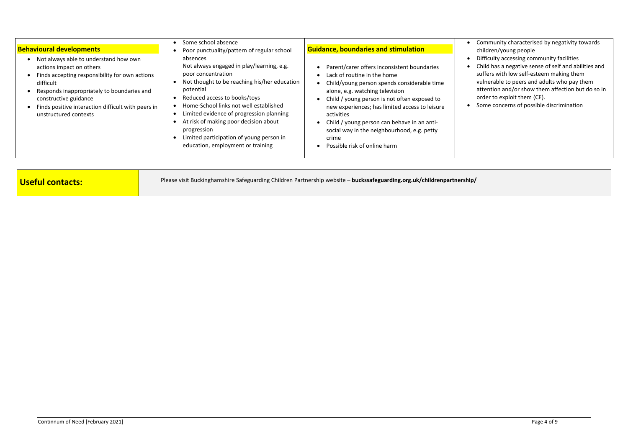| <b>Behavioural developments</b>                                                                                                                                                                                                                                                        | Some school absence<br>Poor punctuality/pattern of regular school                                                                                                                                                                                                                                                                                                                                       | <b>Guidance, boundaries and stimulation</b>                                                                                                                                                                                                                                                                                                                                                                         |  |
|----------------------------------------------------------------------------------------------------------------------------------------------------------------------------------------------------------------------------------------------------------------------------------------|---------------------------------------------------------------------------------------------------------------------------------------------------------------------------------------------------------------------------------------------------------------------------------------------------------------------------------------------------------------------------------------------------------|---------------------------------------------------------------------------------------------------------------------------------------------------------------------------------------------------------------------------------------------------------------------------------------------------------------------------------------------------------------------------------------------------------------------|--|
| Not always able to understand how own<br>actions impact on others<br>Finds accepting responsibility for own actions<br>difficult<br>Responds inappropriately to boundaries and<br>constructive guidance<br>Finds positive interaction difficult with peers in<br>unstructured contexts | absences<br>Not always engaged in play/learning, e.g.<br>poor concentration<br>Not thought to be reaching his/her education<br>potential<br>Reduced access to books/toys<br>Home-School links not well established<br>Limited evidence of progression planning<br>At risk of making poor decision about<br>progression<br>Limited participation of young person in<br>education, employment or training | Parent/carer offers inconsistent boundaries<br>Lack of routine in the home<br>Child/young person spends considerable time<br>alone, e.g. watching television<br>Child / young person is not often exposed to<br>new experiences; has limited access to leisure<br>activities<br>Child / young person can behave in an anti-<br>social way in the neighbourhood, e.g. petty<br>crime<br>Possible risk of online harm |  |

- Community characterised by negativity towards children/young people
- Difficulty accessing community facilities
- Child has a negative sense of self and abilities and suffers with low self-esteem making them
	- vulnerable to peers and adults who pay them
	- attention and/or show them affection but do so in order to exploit them (CE).
- Some concerns of possible discrimination

| Please visit Buckinghamshire Safeguarding Children Partnership website - buckssafeguarding.org.uk/childrenpartnership/<br>Useful contacts: |
|--------------------------------------------------------------------------------------------------------------------------------------------|
|--------------------------------------------------------------------------------------------------------------------------------------------|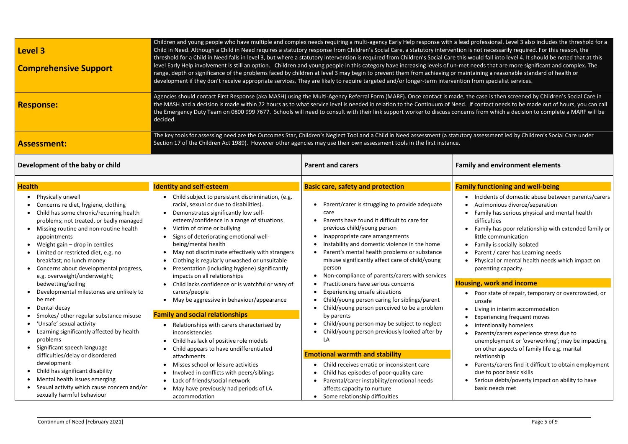| Children and young people who have multiple and complex needs requiring a multi-agency Early Help response with a lead professional. Level 3 also includes the threshold<br>Child in Need. Although a Child in Need requires a statutory response from Children's Social Care, a statutory intervention is not necessarily required. For this reason, the<br><b>Level 3</b><br>threshold for a Child in Need falls in level 3, but where a statutory intervention is required from Children's Social Care this would fall into level 4. It should be noted that at<br>level Early Help involvement is still an option. Children and young people in this category have increasing levels of un-met needs that are more significant and complex. T<br><b>Comprehensive Support</b><br>range, depth or significance of the problems faced by children at level 3 may begin to prevent them from achieving or maintaining a reasonable standard of health or<br>development if they don't receive appropriate services. They are likely to require targeted and/or longer-term intervention from specialist services.<br>Agencies should contact First Response (aka MASH) using the Multi-Agency Referral Form (MARF). Once contact is made, the case is then screened by Children's Social Car |                                                                                                                                                                                                                                                                                                                                                                                                                                                                                                                                                     |                                                                                                                                                                                                                                                                                                                                                                                                                                                                                                                                                            |                                                                                                                                                                                                                                                                                                                                                                                                                                                                                                                                                    |
|-----------------------------------------------------------------------------------------------------------------------------------------------------------------------------------------------------------------------------------------------------------------------------------------------------------------------------------------------------------------------------------------------------------------------------------------------------------------------------------------------------------------------------------------------------------------------------------------------------------------------------------------------------------------------------------------------------------------------------------------------------------------------------------------------------------------------------------------------------------------------------------------------------------------------------------------------------------------------------------------------------------------------------------------------------------------------------------------------------------------------------------------------------------------------------------------------------------------------------------------------------------------------------------------------|-----------------------------------------------------------------------------------------------------------------------------------------------------------------------------------------------------------------------------------------------------------------------------------------------------------------------------------------------------------------------------------------------------------------------------------------------------------------------------------------------------------------------------------------------------|------------------------------------------------------------------------------------------------------------------------------------------------------------------------------------------------------------------------------------------------------------------------------------------------------------------------------------------------------------------------------------------------------------------------------------------------------------------------------------------------------------------------------------------------------------|----------------------------------------------------------------------------------------------------------------------------------------------------------------------------------------------------------------------------------------------------------------------------------------------------------------------------------------------------------------------------------------------------------------------------------------------------------------------------------------------------------------------------------------------------|
| <b>Response:</b>                                                                                                                                                                                                                                                                                                                                                                                                                                                                                                                                                                                                                                                                                                                                                                                                                                                                                                                                                                                                                                                                                                                                                                                                                                                                              | decided.                                                                                                                                                                                                                                                                                                                                                                                                                                                                                                                                            | the MASH and a decision is made within 72 hours as to what service level is needed in relation to the Continuum of Need. If contact needs to be made out of hours, you c<br>the Emergency Duty Team on 0800 999 7677. Schools will need to consult with their link support worker to discuss concerns from which a decision to complete a MARF w                                                                                                                                                                                                           |                                                                                                                                                                                                                                                                                                                                                                                                                                                                                                                                                    |
| <b>Assessment:</b>                                                                                                                                                                                                                                                                                                                                                                                                                                                                                                                                                                                                                                                                                                                                                                                                                                                                                                                                                                                                                                                                                                                                                                                                                                                                            |                                                                                                                                                                                                                                                                                                                                                                                                                                                                                                                                                     | The key tools for assessing need are the Outcomes Star, Children's Neglect Tool and a Child in Need assessment (a statutory assessment led by Children's Social Care unde<br>Section 17 of the Children Act 1989). However other agencies may use their own assessment tools in the first instance.                                                                                                                                                                                                                                                        |                                                                                                                                                                                                                                                                                                                                                                                                                                                                                                                                                    |
| Development of the baby or child                                                                                                                                                                                                                                                                                                                                                                                                                                                                                                                                                                                                                                                                                                                                                                                                                                                                                                                                                                                                                                                                                                                                                                                                                                                              |                                                                                                                                                                                                                                                                                                                                                                                                                                                                                                                                                     | <b>Parent and carers</b>                                                                                                                                                                                                                                                                                                                                                                                                                                                                                                                                   | <b>Family and environment elements</b>                                                                                                                                                                                                                                                                                                                                                                                                                                                                                                             |
| <b>Health</b>                                                                                                                                                                                                                                                                                                                                                                                                                                                                                                                                                                                                                                                                                                                                                                                                                                                                                                                                                                                                                                                                                                                                                                                                                                                                                 | <b>Identity and self-esteem</b>                                                                                                                                                                                                                                                                                                                                                                                                                                                                                                                     | <b>Basic care, safety and protection</b>                                                                                                                                                                                                                                                                                                                                                                                                                                                                                                                   | <b>Family functioning and well-being</b>                                                                                                                                                                                                                                                                                                                                                                                                                                                                                                           |
| Physically unwell<br>Concerns re diet, hygiene, clothing<br>Child has some chronic/recurring health<br>problems; not treated, or badly managed<br>Missing routine and non-routine health<br>appointments<br>Weight gain - drop in centiles<br>Limited or restricted diet, e.g. no<br>breakfast; no lunch money<br>Concerns about developmental progress,<br>e.g. overweight/underweight;                                                                                                                                                                                                                                                                                                                                                                                                                                                                                                                                                                                                                                                                                                                                                                                                                                                                                                      | Child subject to persistent discrimination, (e.g.<br>racial, sexual or due to disabilities).<br>Demonstrates significantly low self-<br>esteem/confidence in a range of situations<br>Victim of crime or bullying<br>Signs of deteriorating emotional well-<br>being/mental health<br>May not discriminate effectively with strangers<br>٠<br>Clothing is regularly unwashed or unsuitable<br>Presentation (including hygiene) significantly<br>$\bullet$<br>impacts on all relationships                                                           | • Parent/carer is struggling to provide adequate<br>care<br>Parents have found it difficult to care for<br>previous child/young person<br>Inappropriate care arrangements<br>Instability and domestic violence in the home<br>Parent's mental health problems or substance<br>misuse significantly affect care of child/young<br>person<br>Non-compliance of parents/carers with services                                                                                                                                                                  | • Incidents of domestic abuse between parents<br>Acrimonious divorce/separation<br>Family has serious physical and mental health<br>difficulties<br>Family has poor relationship with extended fa<br>little communication<br>Family is socially isolated<br>Parent / carer has Learning needs<br>Physical or mental health needs which impact<br>parenting capacity.                                                                                                                                                                               |
| bedwetting/soiling<br>Developmental milestones are unlikely to<br>be met<br>Dental decay<br>Smokes/ other regular substance misuse<br>'Unsafe' sexual activity<br>Learning significantly affected by health<br>problems<br>Significant speech language<br>difficulties/delay or disordered<br>development<br>Child has significant disability<br>Mental health issues emerging<br>Sexual activity which cause concern and/or<br>sexually harmful behaviour                                                                                                                                                                                                                                                                                                                                                                                                                                                                                                                                                                                                                                                                                                                                                                                                                                    | Child lacks confidence or is watchful or wary of<br>carers/people<br>May be aggressive in behaviour/appearance<br>$\bullet$<br><b>Family and social relationships</b><br>Relationships with carers characterised by<br>inconsistencies<br>Child has lack of positive role models<br>Child appears to have undifferentiated<br>attachments<br>Misses school or leisure activities<br>Involved in conflicts with peers/siblings<br>Lack of friends/social network<br>$\bullet$<br>May have previously had periods of LA<br>$\bullet$<br>accommodation | Practitioners have serious concerns<br>Experiencing unsafe situations<br>Child/young person caring for siblings/parent<br>Child/young person perceived to be a problem<br>by parents<br>Child/young person may be subject to neglect<br>Child/young person previously looked after by<br>LA<br><b>Emotional warmth and stability</b><br>Child receives erratic or inconsistent care<br>$\bullet$<br>Child has episodes of poor-quality care<br>Parental/carer instability/emotional needs<br>affects capacity to nurture<br>Some relationship difficulties | <b>Housing, work and income</b><br>• Poor state of repair, temporary or overcrowd<br>unsafe<br>Living in interim accommodation<br><b>Experiencing frequent moves</b><br>Intentionally homeless<br>$\bullet$<br>Parents/carers experience stress due to<br>$\bullet$<br>unemployment or 'overworking'; may be imp<br>on other aspects of family life e.g. marital<br>relationship<br>Parents/carers find it difficult to obtain emplo<br>due to poor basic skills<br>Serious debts/poverty impact on ability to hat<br>$\bullet$<br>basic needs met |

rofessional. Level 3 also includes the threshold for a multi-agency early Help response a not necessarily required. For this reason, the ould fall into level 4. It should be noted that at this  $\overline{\phantom{a}}$ eeds that are more significant and complex. The iining a reasonable standard of health or rom specialist services.

ecase is then screened by Children's Social Care in contact needs to be made out of hours, you can call from which a decision to complete a MARF will be

### **z** and environment elements

### **Family functioning and well-being**

• Incidents of domestic abuse between parents/carers

- Acrimonious divorce/separation
- Family has serious physical and mental health difficulties
- Family has poor relationship with extended family or little communication
- Family is socially isolated
- Parent / carer has Learning needs
- Physical or mental health needs which impact on parenting capacity.

#### **Houghthand income**

• Poor state of repair, temporary or overcrowded, or unsafe

- Living in interim accommodation
- Experiencing frequent moves
- Intentionally homeless
- Parents/carers experience stress due to
- unemployment or 'overworking'; may be impacting
- on other aspects of family life e.g. marital
- relationship
- Parents/carers find it difficult to obtain employment due to poor basic skills
- Serious debts/poverty impact on ability to have
- basic needs met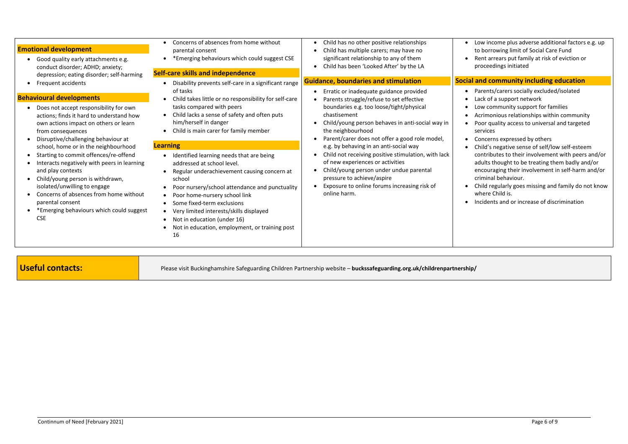| <b>Emotional development</b><br>Good quality early attachments e.g.<br>$\bullet$<br>conduct disorder; ADHD; anxiety;                                                                                                                                                                                                                                                    | Concerns of absences from home without<br>$\bullet$<br>parental consent<br>*Emerging behaviours which could suggest CSE                                                                                                                                                                                                                                                                                            | Child has no other positive relationships<br>Child has multiple carers; may have no<br>significant relationship to any of them<br>Child has been 'Looked After' by the LA                                                                                                  |               |
|-------------------------------------------------------------------------------------------------------------------------------------------------------------------------------------------------------------------------------------------------------------------------------------------------------------------------------------------------------------------------|--------------------------------------------------------------------------------------------------------------------------------------------------------------------------------------------------------------------------------------------------------------------------------------------------------------------------------------------------------------------------------------------------------------------|----------------------------------------------------------------------------------------------------------------------------------------------------------------------------------------------------------------------------------------------------------------------------|---------------|
| depression; eating disorder; self-harming                                                                                                                                                                                                                                                                                                                               | <b>Self-care skills and independence</b>                                                                                                                                                                                                                                                                                                                                                                           | <b>Guidance, boundaries and stimulation</b>                                                                                                                                                                                                                                | <b>Social</b> |
| Frequent accidents                                                                                                                                                                                                                                                                                                                                                      | Disability prevents self-care in a significant range<br>of tasks                                                                                                                                                                                                                                                                                                                                                   | Erratic or inadequate guidance provided                                                                                                                                                                                                                                    |               |
| <b>Behavioural developments</b>                                                                                                                                                                                                                                                                                                                                         | Child takes little or no responsibility for self-care<br>$\bullet$                                                                                                                                                                                                                                                                                                                                                 | Parents struggle/refuse to set effective                                                                                                                                                                                                                                   |               |
| Does not accept responsibility for own<br>actions; finds it hard to understand how<br>own actions impact on others or learn<br>from consequences<br>Disruptive/challenging behaviour at                                                                                                                                                                                 | tasks compared with peers<br>Child lacks a sense of safety and often puts<br>him/herself in danger<br>Child is main carer for family member                                                                                                                                                                                                                                                                        | boundaries e.g. too loose/tight/physical<br>chastisement<br>Child/young person behaves in anti-social way in<br>the neighbourhood<br>Parent/carer does not offer a good role model,                                                                                        |               |
| school, home or in the neighbourhood<br>Starting to commit offences/re-offend<br>$\bullet$<br>Interacts negatively with peers in learning<br>and play contexts<br>Child/young person is withdrawn,<br>$\bullet$<br>isolated/unwilling to engage<br>Concerns of absences from home without<br>parental consent<br>*Emerging behaviours which could suggest<br><b>CSE</b> | <b>Learning</b><br>Identified learning needs that are being<br>addressed at school level.<br>Regular underachievement causing concern at<br>school<br>Poor nursery/school attendance and punctuality<br>$\bullet$<br>Poor home-nursery school link<br>Some fixed-term exclusions<br>Very limited interests/skills displayed<br>Not in education (under 16)<br>Not in education, employment, or training post<br>16 | e.g. by behaving in an anti-social way<br>Child not receiving positive stimulation, with lack<br>of new experiences or activities<br>Child/young person under undue parental<br>pressure to achieve/aspire<br>Exposure to online forums increasing risk of<br>online harm. |               |

Low income plus adverse additional factors e.g. up to borrowing limit of Social Care Fund Rent arrears put family at risk of eviction or proceedings initiated

### **Solutify 12** and community including education

- Parents/carers socially excluded/isolated Lack of a support network
- Low community support for families
- Acrimonious relationships within community
- Poor quality access to universal and targeted services
- Concerns expressed by others
- Child's negative sense of self/low self-esteem
- contributes to their involvement with peers and/or adults thought to be treating them badly and/or encouraging their involvement in self-harm and/or criminal behaviour.
- Child regularly goes missing and family do not know where Child is.
- Incidents and or increase of discrimination

**Useful contacts:** Please visit Buckinghamshire Safeguarding Children Partnership website – **buckssafeguarding.org.uk/childrenpartnership/**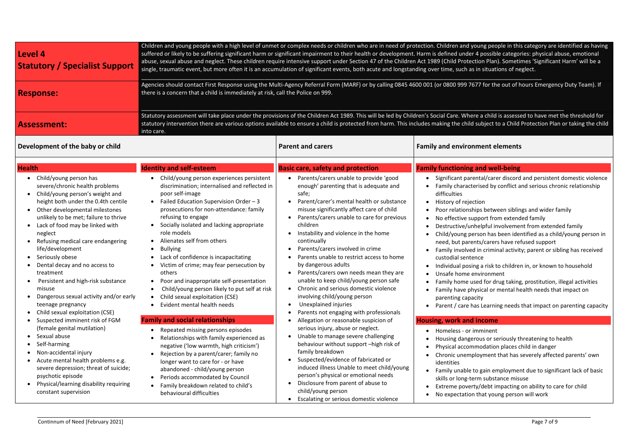| Children and young people with a high level of unmet or complex needs or children who are in need of protection. Children and young people in this category are id<br>suffered or likely to be suffering significant harm or significant impairment to their health or development. Harm is defined under 4 possible categories: physical abu<br><b>Level 4</b><br>abuse, sexual abuse and neglect. These children require intensive support under Section 47 of the Children Act 1989 (Child Protection Plan). Sometimes 'Significant I<br><b>Statutory / Specialist Support</b><br>single, traumatic event, but more often it is an accumulation of significant events, both acute and longstanding over time, such as in situations of neglect. |                                                                                                                                                                                                                                                                                                                                                                                                                                                                                                                                                                                                                                           |                                                                                                                                                                                                                                                                                                                                                                                                                                                                                                                                                                                                                                              |                                                                                                                                                                                                                                                                                                                                                                                                                                                                                                                                                                                                                                                                                                                                                                          |
|----------------------------------------------------------------------------------------------------------------------------------------------------------------------------------------------------------------------------------------------------------------------------------------------------------------------------------------------------------------------------------------------------------------------------------------------------------------------------------------------------------------------------------------------------------------------------------------------------------------------------------------------------------------------------------------------------------------------------------------------------|-------------------------------------------------------------------------------------------------------------------------------------------------------------------------------------------------------------------------------------------------------------------------------------------------------------------------------------------------------------------------------------------------------------------------------------------------------------------------------------------------------------------------------------------------------------------------------------------------------------------------------------------|----------------------------------------------------------------------------------------------------------------------------------------------------------------------------------------------------------------------------------------------------------------------------------------------------------------------------------------------------------------------------------------------------------------------------------------------------------------------------------------------------------------------------------------------------------------------------------------------------------------------------------------------|--------------------------------------------------------------------------------------------------------------------------------------------------------------------------------------------------------------------------------------------------------------------------------------------------------------------------------------------------------------------------------------------------------------------------------------------------------------------------------------------------------------------------------------------------------------------------------------------------------------------------------------------------------------------------------------------------------------------------------------------------------------------------|
| <b>Response:</b>                                                                                                                                                                                                                                                                                                                                                                                                                                                                                                                                                                                                                                                                                                                                   | there is a concern that a child is immediately at risk, call the Police on 999.                                                                                                                                                                                                                                                                                                                                                                                                                                                                                                                                                           |                                                                                                                                                                                                                                                                                                                                                                                                                                                                                                                                                                                                                                              | Agencies should contact First Response using the Multi-Agency Referral Form (MARF) or by calling 0845 4600 001 (or 0800 999 7677 for the out of hours Emergency                                                                                                                                                                                                                                                                                                                                                                                                                                                                                                                                                                                                          |
| <b>Assessment:</b>                                                                                                                                                                                                                                                                                                                                                                                                                                                                                                                                                                                                                                                                                                                                 | into care.                                                                                                                                                                                                                                                                                                                                                                                                                                                                                                                                                                                                                                |                                                                                                                                                                                                                                                                                                                                                                                                                                                                                                                                                                                                                                              | Statutory assessment will take place under the provisions of the Children Act 1989. This will be led by Children's Social Care. Where a child is assessed to have met tl<br>statutory intervention there are various options available to ensure a child is protected from harm. This includes making the child subject to a Child Protection Plan of                                                                                                                                                                                                                                                                                                                                                                                                                    |
| Development of the baby or child                                                                                                                                                                                                                                                                                                                                                                                                                                                                                                                                                                                                                                                                                                                   |                                                                                                                                                                                                                                                                                                                                                                                                                                                                                                                                                                                                                                           | <b>Parent and carers</b>                                                                                                                                                                                                                                                                                                                                                                                                                                                                                                                                                                                                                     | <b>Family and environment elements</b>                                                                                                                                                                                                                                                                                                                                                                                                                                                                                                                                                                                                                                                                                                                                   |
| <b>Health</b>                                                                                                                                                                                                                                                                                                                                                                                                                                                                                                                                                                                                                                                                                                                                      | <b>Identity and self-esteem</b>                                                                                                                                                                                                                                                                                                                                                                                                                                                                                                                                                                                                           | <b>Basic care, safety and protection</b>                                                                                                                                                                                                                                                                                                                                                                                                                                                                                                                                                                                                     | <b>Family functioning and well-being</b>                                                                                                                                                                                                                                                                                                                                                                                                                                                                                                                                                                                                                                                                                                                                 |
| Child/young person has<br>$\bullet$<br>severe/chronic health problems<br>Child/young person's weight and<br>height both under the 0.4th centile<br>Other developmental milestones<br>unlikely to be met; failure to thrive<br>Lack of food may be linked with<br>neglect<br>Refusing medical care endangering<br>life/development<br>Seriously obese<br>Dental decay and no access to<br>treatment<br>Persistent and high-risk substance<br>misuse<br>Dangerous sexual activity and/or early<br>teenage pregnancy<br>Child sexual exploitation (CSE)                                                                                                                                                                                               | Child/young person experiences persistent<br>discrimination; internalised and reflected in<br>poor self-image<br>Failed Education Supervision Order - 3<br>$\bullet$<br>prosecutions for non-attendance: family<br>refusing to engage<br>Socially isolated and lacking appropriate<br>role models<br>Alienates self from others<br>$\bullet$<br><b>Bullying</b><br>Lack of confidence is incapacitating<br>Victim of crime; may fear persecution by<br>others<br>Poor and inappropriate self-presentation<br>Child/young person likely to put self at risk<br>Child sexual exploitation (CSE)<br>$\bullet$<br>Evident mental health needs | Parents/carers unable to provide 'good<br>enough' parenting that is adequate and<br>safe;<br>Parent/carer's mental health or substance<br>misuse significantly affect care of child<br>Parents/carers unable to care for previous<br>children<br>Instability and violence in the home<br>continually<br>Parents/carers involved in crime<br>Parents unable to restrict access to home<br>by dangerous adults<br>Parents/carers own needs mean they are<br>unable to keep child/young person safe<br>Chronic and serious domestic violence<br>involving child/young person<br>Unexplained injuries<br>Parents not engaging with professionals | Significant parental/carer discord and persistent of<br>Family characterised by conflict and serious chron<br>difficulties<br>History of rejection<br>Poor relationships between siblings and wider fan<br>No effective support from extended family<br>Destructive/unhelpful involvement from extended<br>Child/young person has been identified as a child/<br>need, but parents/carers have refused support<br>Family involved in criminal activity; parent or sibli<br>custodial sentence<br>Individual posing a risk to children in, or known to<br>Unsafe home environment<br>Family home used for drug taking, prostitution, ille-<br>Family have physical or mental health needs that<br>parenting capacity<br>Parent / care has Learning needs that impact on p |
| Suspected imminent risk of FGM                                                                                                                                                                                                                                                                                                                                                                                                                                                                                                                                                                                                                                                                                                                     | <b>Family and social relationships</b>                                                                                                                                                                                                                                                                                                                                                                                                                                                                                                                                                                                                    | Allegation or reasonable suspicion of                                                                                                                                                                                                                                                                                                                                                                                                                                                                                                                                                                                                        | <b>Housing, work and income</b>                                                                                                                                                                                                                                                                                                                                                                                                                                                                                                                                                                                                                                                                                                                                          |
| (female genital mutilation)<br>Sexual abuse<br>Self-harming<br>Non-accidental injury<br>Acute mental health problems e.g.<br>severe depression; threat of suicide;<br>psychotic episode<br>Physical/learning disability requiring<br>constant supervision                                                                                                                                                                                                                                                                                                                                                                                                                                                                                          | Repeated missing persons episodes<br>Relationships with family experienced as<br>negative ('low warmth, high criticism')<br>Rejection by a parent/carer; family no<br>longer want to care for - or have<br>abandoned - child/young person<br>Periods accommodated by Council<br>$\bullet$<br>Family breakdown related to child's<br>$\bullet$<br>behavioural difficulties                                                                                                                                                                                                                                                                 | serious injury, abuse or neglect.<br>Unable to manage severe challenging<br>behaviour without support -high risk of<br>family breakdown<br>Suspected/evidence of fabricated or<br>induced illness Unable to meet child/young<br>person's physical or emotional needs<br>Disclosure from parent of abuse to<br>child/young person<br>Escalating or serious domestic violence                                                                                                                                                                                                                                                                  | Homeless - or imminent<br>$\bullet$<br>Housing dangerous or seriously threatening to hear<br>Physical accommodation places child in danger<br>Chronic unemployment that has severely affected<br>identities<br>Family unable to gain employment due to significal<br>skills or long-term substance misuse<br>Extreme poverty/debt impacting on ability to care<br>No expectation that young person will work                                                                                                                                                                                                                                                                                                                                                             |

oung people in this category are identified as having 4 possible categories: physical abuse, emotional abuse and neglect. These intendent intererent interentsive inter-<br>Intensive intensive in the Child Protection Planni Vill be and Plan). Sometimes 'Significant Harm' will be a in situations of neglect.

Fould first First Reponse is all the Multi-Agency Duty Team). If

re a child is assessed to have met the threshold for subject to a Child Protection Plan or taking the child

### **Family functioning and well-being**

ental/carer discord and persistent domestic violence erised by conflict and serious chronic relationship

- ction
- ips between siblings and wider family
- upport from extended family
- helpful involvement from extended family
- erson has been identified as a child/young person in ents/carers have refused support
- d in criminal activity; parent or sibling has received ence
- ing a risk to children in, or known to household environment
- ised for drug taking, prostitution, illegal activities hysical or mental health needs that impact on acity
- as Learning needs that impact on parenting capacity

#### income

- imminent
- rous or seriously threatening to health
- nmodation places child in danger
- bloyment that has severely affected parents' own
- to gain employment due to significant lack of basic erm substance misuse
- ty/debt impacting on ability to care for child
- that young person will work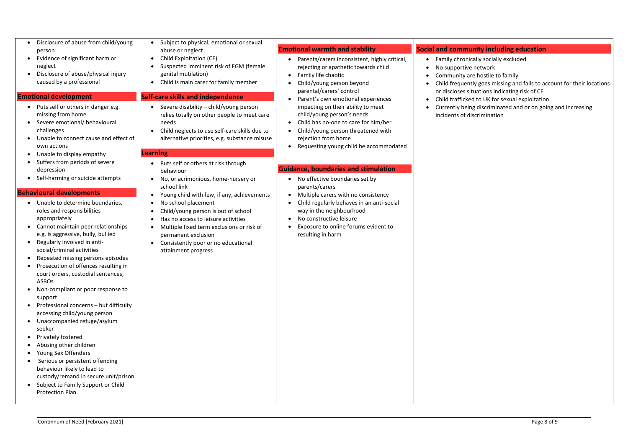- Disclosure of abuse from child/young person
- Evidence of significant harm or neglect
- Disclosure of abuse/physical injury caused by a professional

#### **Emotional development**

- Puts self or others in danger e.g. missing from home
- Severe emotional/ behavioural challenges
- Unable to connect cause and effect of own actions
- Unable to display empathy
- Suffers from periods of severe depression
- Self-harming or suicide attempts

#### **Behavioural developments**

- Unable to determine boundaries, roles and responsibilities appropriately
- Cannot maintain peer relationships e.g. is aggressive, bully, bullied
- Regularly involved in antisocial/criminal activities
- Repeated missing persons episodes
- Prosecution of offences resulting in court orders, custodial sentences, ASBOs
- Non-compliant or poor response to support
- Professional concerns but difficulty accessing child/young person
- Unaccompanied refuge/asylum seeker
- Privately fostered
- Abusing other children
- Young Sex Offenders
- Serious or persistent offending behaviour likely to lead to custody/remand in secure unit/prison
- Subject to Family Support or Child Protection Plan
- Subject to physical, emotional or sexual abuse or neglect
- Child Exploitation (CE)
- Suspected imminent risk of FGM (female genital mutilation)
- Child is main carer for family member

#### **Self-care skills and independence**

- Severe disability child/young person relies totally on other people to meet care needs
- Child neglects to use self-care skills due to alternative priorities, e.g. substance misuse

#### **Learning**

- Puts self or others at risk through behaviour
- No, or acrimonious, home-nursery or school link
- Young child with few, if any, achievements
- No school placement
- Child/young person is out of school
- Has no access to leisure activities
- Multiple fixed term exclusions or risk of permanent exclusion
- Consistently poor or no educational attainment progress

#### **Emotional warmth and stability**

- Parents/carers inconsistent, highly critical, rejecting or apathetic towards child
- Family life chaotic
- Child/young person beyond parental/carers' control
- Parent's own emotional experiences impacting on their ability to meet child/young person's needs
- Child has no-one to care for him/her
- Child/young person threatened with rejection from home
- Requesting young child be accommodated

#### **Guidance, boundaries and stimulation**

- No effective boundaries set by parents/carers
- Multiple carers with no consistency
- Child regularly behaves in an anti-social way in the neighbourhood
- No constructive leisure
- Exposure to online forums evident to resulting in harm

#### **Social and community including education**

• Family chronically socially excluded

• Child frequently goes missing and fails to account for their locations or discloses situations indicating risk of CE

- 
- No supportive network
- Community are hostile to family
- 
- - incidents of discrimination

• Child trafficked to UK for sexual exploitation

• Currently being discriminated and or on going and increasing